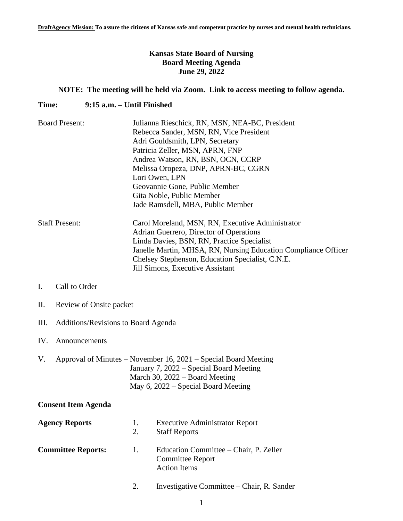# **Kansas State Board of Nursing Board Meeting Agenda June 29, 2022**

# **NOTE: The meeting will be held via Zoom. Link to access meeting to follow agenda.**

## **Time: 9:15 a.m. – Until Finished**

| <b>Board Present:</b> | Julianna Rieschick, RN, MSN, NEA-BC, President                             |  |  |
|-----------------------|----------------------------------------------------------------------------|--|--|
|                       | Rebecca Sander, MSN, RN, Vice President<br>Adri Gouldsmith, LPN, Secretary |  |  |
|                       |                                                                            |  |  |
|                       | Patricia Zeller, MSN, APRN, FNP                                            |  |  |
|                       | Andrea Watson, RN, BSN, OCN, CCRP                                          |  |  |
|                       | Melissa Oropeza, DNP, APRN-BC, CGRN                                        |  |  |
|                       | Lori Owen, LPN                                                             |  |  |
|                       | Geovannie Gone, Public Member                                              |  |  |
|                       | Gita Noble, Public Member                                                  |  |  |
|                       | Jade Ramsdell, MBA, Public Member                                          |  |  |
| <b>Staff Present:</b> | Carol Moreland, MSN, RN, Executive Administrator                           |  |  |
|                       | Adrian Guerrero, Director of Operations                                    |  |  |
|                       | Linda Davies, BSN, RN, Practice Specialist                                 |  |  |
|                       | Janelle Martin, MHSA, RN, Nursing Education Compliance Officer             |  |  |
|                       | Chelsey Stephenson, Education Specialist, C.N.E.                           |  |  |
|                       | Jill Simons, Executive Assistant                                           |  |  |

# I. Call to Order

- II. Review of Onsite packet
- III. Additions/Revisions to Board Agenda

#### IV. Announcements

V. Approval of Minutes – November 16, 2021 – Special Board Meeting January 7, 2022 – Special Board Meeting March 30, 2022 – Board Meeting May 6, 2022 – Special Board Meeting

#### **Consent Item Agenda**

| <b>Agency Reports</b>     | Ι.<br>2. | <b>Executive Administrator Report</b><br><b>Staff Reports</b>                            |
|---------------------------|----------|------------------------------------------------------------------------------------------|
| <b>Committee Reports:</b> | - 1. -   | Education Committee – Chair, P. Zeller<br><b>Committee Report</b><br><b>Action Items</b> |

2. Investigative Committee – Chair, R. Sander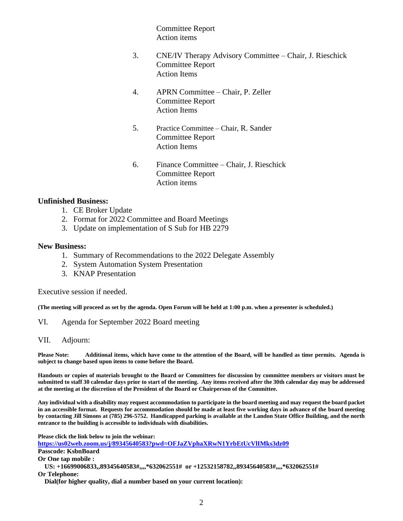Committee Report Action items

- 3. CNE/IV Therapy Advisory Committee Chair, J. Rieschick Committee Report Action Items
- 4. APRN Committee Chair, P. Zeller Committee Report Action Items
- 5. Practice Committee Chair, R. Sander Committee Report Action Items
- 6. Finance Committee Chair, J. Rieschick Committee Report Action items

## **Unfinished Business:**

- 1. CE Broker Update
- 2. Format for 2022 Committee and Board Meetings
- 3. Update on implementation of S Sub for HB 2279

#### **New Business:**

- 1. Summary of Recommendations to the 2022 Delegate Assembly
- 2. System Automation System Presentation
- 3. KNAP Presentation

Executive session if needed.

**(The meeting will proceed as set by the agenda. Open Forum will be held at 1:00 p.m. when a presenter is scheduled.)**

- VI. Agenda for September 2022 Board meeting
- VII. Adjourn:

**Please Note: Additional items, which have come to the attention of the Board, will be handled as time permits. Agenda is subject to change based upon items to come before the Board.**

**Handouts or copies of materials brought to the Board or Committees for discussion by committee members or visitors must be submitted to staff 30 calendar days prior to start of the meeting. Any items received after the 30th calendar day may be addressed at the meeting at the discretion of the President of the Board or Chairperson of the Committee.**

**Any individual with a disability may request accommodation to participate in the board meeting and may request the board packet in an accessible format. Requests for accommodation should be made at least five working days in advance of the board meeting by contacting Jill Simons at (785) 296-5752. Handicapped parking is available at the Landon State Office Building, and the north entrance to the building is accessible to individuals with disabilities.**

**Please click the link below to join the webinar:**

**<https://us02web.zoom.us/j/89345640583?pwd=OFJaZVphaXRwN1YrbEtUcVlIMks3dz09>**

**Passcode: KsbnBoard**

**Or One tap mobile :** 

 **US: +16699006833,,89345640583#,,,,\*632062551# or +12532158782,,89345640583#,,,,\*632062551# Or Telephone:**

 **Dial(for higher quality, dial a number based on your current location):**